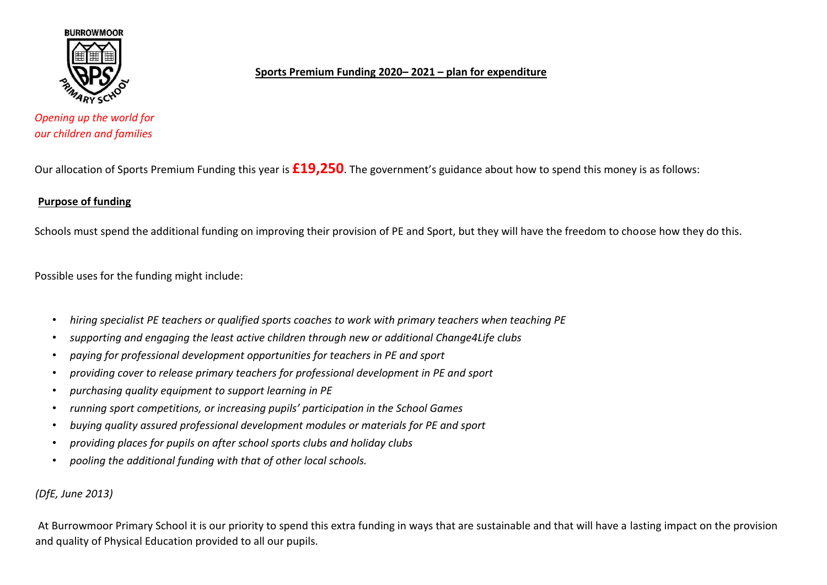

## **Sports Premium Funding 2020– 2021 – plan for expenditure**

*Opening up the world for our children and families*

Our allocation of Sports Premium Funding this year is **£19,250**. The government's guidance about how to spend this money is as follows:

## **Purpose of funding**

Schools must spend the additional funding on improving their provision of PE and Sport, but they will have the freedom to choose how they do this.

Possible uses for the funding might include:

- *hiring specialist PE teachers or qualified sports coaches to work with primary teachers when teaching PE*
- *supporting and engaging the least active children through new or additional Change4Life clubs*
- *paying for professional development opportunities for teachers in PE and sport*
- *providing cover to release primary teachers for professional development in PE and sport*
- *purchasing quality equipment to support learning in PE*
- *running sport competitions, or increasing pupils' participation in the School Games*
- *buying quality assured professional development modules or materials for PE and sport*
- *providing places for pupils on after school sports clubs and holiday clubs*
- *pooling the additional funding with that of other local schools.*

## *(DfE, June 2013)*

At Burrowmoor Primary School it is our priority to spend this extra funding in ways that are sustainable and that will have a lasting impact on the provision and quality of Physical Education provided to all our pupils.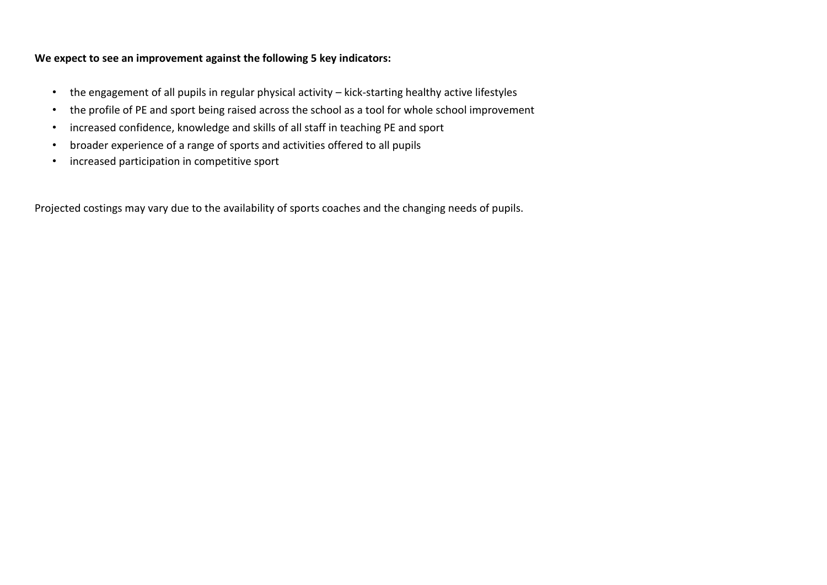## **We expect to see an improvement against the following 5 key indicators:**

- the engagement of all pupils in regular physical activity kick-starting healthy active lifestyles
- the profile of PE and sport being raised across the school as a tool for whole school improvement
- increased confidence, knowledge and skills of all staff in teaching PE and sport
- broader experience of a range of sports and activities offered to all pupils
- increased participation in competitive sport

Projected costings may vary due to the availability of sports coaches and the changing needs of pupils.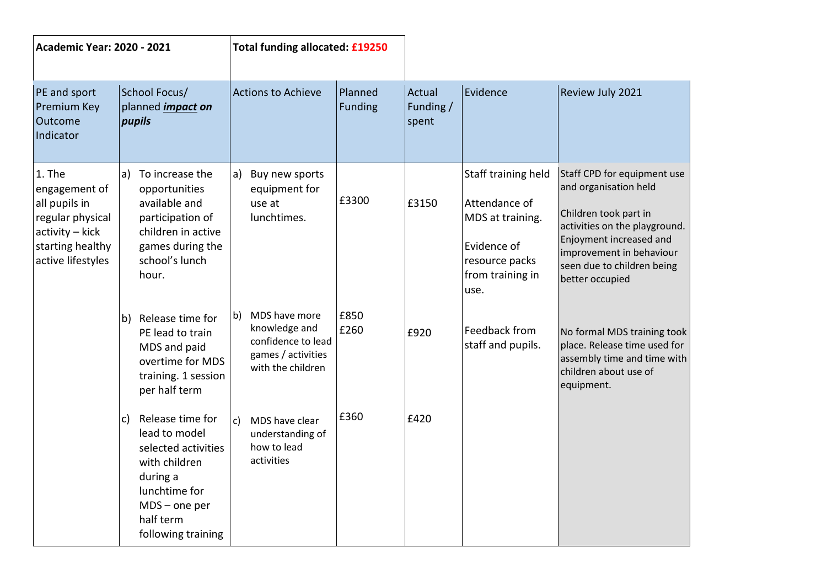| <b>Academic Year: 2020 - 2021</b>                                                                                        |                                                                                                                                                                    | Total funding allocated: £19250                                                                       |                    |                              |                                                                                                                       |                                                                                                                                                                                                                        |
|--------------------------------------------------------------------------------------------------------------------------|--------------------------------------------------------------------------------------------------------------------------------------------------------------------|-------------------------------------------------------------------------------------------------------|--------------------|------------------------------|-----------------------------------------------------------------------------------------------------------------------|------------------------------------------------------------------------------------------------------------------------------------------------------------------------------------------------------------------------|
| PE and sport<br>Premium Key<br>Outcome<br>Indicator                                                                      | School Focus/<br>planned <i>impact</i> on<br>pupils                                                                                                                | <b>Actions to Achieve</b>                                                                             | Planned<br>Funding | Actual<br>Funding /<br>spent | Evidence                                                                                                              | Review July 2021                                                                                                                                                                                                       |
| 1. The<br>engagement of<br>all pupils in<br>regular physical<br>activity - kick<br>starting healthy<br>active lifestyles | a) To increase the<br>opportunities<br>available and<br>participation of<br>children in active<br>games during the<br>school's lunch<br>hour.                      | Buy new sports<br>a)<br>equipment for<br>use at<br>lunchtimes.                                        | £3300              | £3150                        | Staff training held<br>Attendance of<br>MDS at training.<br>Evidence of<br>resource packs<br>from training in<br>use. | Staff CPD for equipment use<br>and organisation held<br>Children took part in<br>activities on the playground.<br>Enjoyment increased and<br>improvement in behaviour<br>seen due to children being<br>better occupied |
|                                                                                                                          | b) Release time for<br>PE lead to train<br>MDS and paid<br>overtime for MDS<br>training. 1 session<br>per half term                                                | MDS have more<br>b)<br>knowledge and<br>confidence to lead<br>games / activities<br>with the children | £850<br>£260       | £920                         | Feedback from<br>staff and pupils.                                                                                    | No formal MDS training took<br>place. Release time used for<br>assembly time and time with<br>children about use of<br>equipment.                                                                                      |
|                                                                                                                          | Release time for<br>c)<br>lead to model<br>selected activities<br>with children<br>during a<br>lunchtime for<br>$MDS$ – one per<br>half term<br>following training | MDS have clear<br>c)<br>understanding of<br>how to lead<br>activities                                 | £360               | £420                         |                                                                                                                       |                                                                                                                                                                                                                        |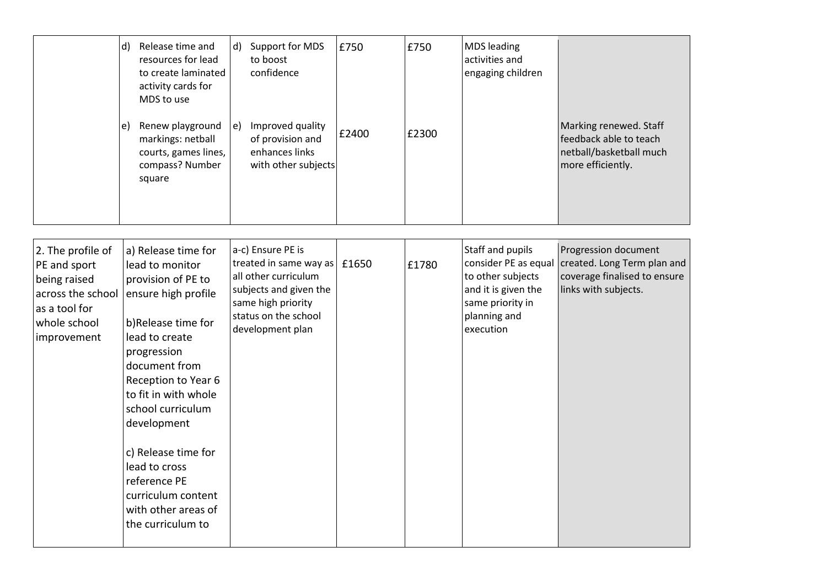|                                                                                                                        | d) Release time and<br>resources for lead<br>to create laminated<br>activity cards for<br>MDS to use<br>Renew playground<br>e)<br>markings: netball<br>courts, games lines,<br>compass? Number<br>square                                                                                                                                                                 | Support for MDS<br>$\mathsf{d}$<br>to boost<br>confidence<br>Improved quality<br>e)<br>of provision and<br>enhances links<br>with other subjects                              | £750<br>£2400 | £750<br>£2300 | <b>MDS</b> leading<br>activities and<br>engaging children                                                                             | Marking renewed. Staff<br>feedback able to teach<br>netball/basketball much<br>more efficiently.            |
|------------------------------------------------------------------------------------------------------------------------|--------------------------------------------------------------------------------------------------------------------------------------------------------------------------------------------------------------------------------------------------------------------------------------------------------------------------------------------------------------------------|-------------------------------------------------------------------------------------------------------------------------------------------------------------------------------|---------------|---------------|---------------------------------------------------------------------------------------------------------------------------------------|-------------------------------------------------------------------------------------------------------------|
| 2. The profile of<br>PE and sport<br>being raised<br>across the school<br>as a tool for<br>whole school<br>improvement | a) Release time for<br>lead to monitor<br>provision of PE to<br>ensure high profile<br>b)Release time for<br>lead to create<br>progression<br>document from<br>Reception to Year 6<br>to fit in with whole<br>school curriculum<br>development<br>c) Release time for<br>lead to cross<br>reference PE<br>curriculum content<br>with other areas of<br>the curriculum to | a-c) Ensure PE is<br>treated in same way as $\vert$ £1650<br>all other curriculum<br>subjects and given the<br>same high priority<br>status on the school<br>development plan |               | £1780         | Staff and pupils<br>consider PE as equal<br>to other subjects<br>and it is given the<br>same priority in<br>planning and<br>execution | Progression document<br>created. Long Term plan and<br>coverage finalised to ensure<br>links with subjects. |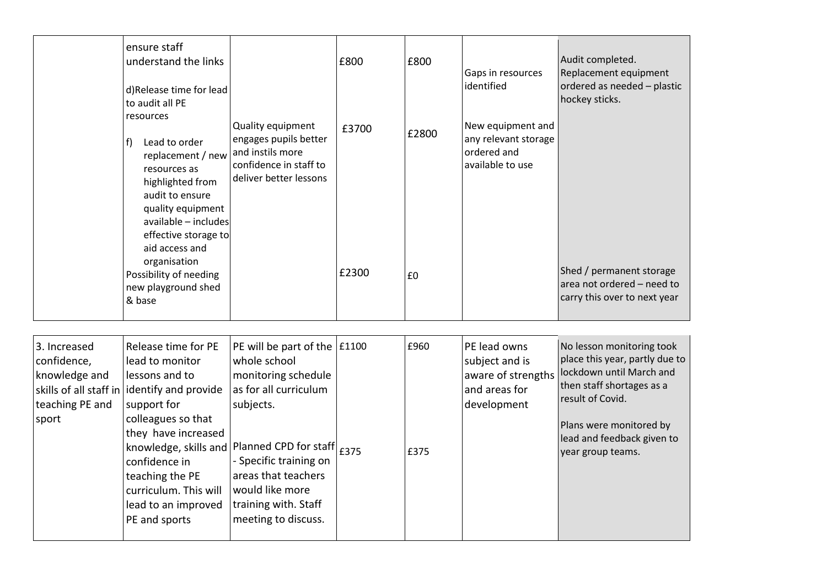|                                                                          | ensure staff<br>understand the links<br>d)Release time for lead<br>to audit all PE<br>resources<br>Lead to order<br>f)<br>replacement / new<br>resources as<br>highlighted from<br>audit to ensure<br>quality equipment<br>available - includes<br>effective storage to<br>aid access and<br>organisation<br>Possibility of needing<br>new playground shed<br>& base | Quality equipment<br>engages pupils better<br>and instils more<br>confidence in staff to<br>deliver better lessons                                                                                                                                                                      | £800<br>£3700<br>£2300 | £800<br>£2800<br>£0 | Gaps in resources<br>identified<br>New equipment and<br>any relevant storage<br>ordered and<br>available to use | Audit completed.<br>Replacement equipment<br>ordered as needed - plastic<br>hockey sticks.<br>Shed / permanent storage<br>area not ordered - need to<br>carry this over to next year                                   |
|--------------------------------------------------------------------------|----------------------------------------------------------------------------------------------------------------------------------------------------------------------------------------------------------------------------------------------------------------------------------------------------------------------------------------------------------------------|-----------------------------------------------------------------------------------------------------------------------------------------------------------------------------------------------------------------------------------------------------------------------------------------|------------------------|---------------------|-----------------------------------------------------------------------------------------------------------------|------------------------------------------------------------------------------------------------------------------------------------------------------------------------------------------------------------------------|
| 3. Increased<br>confidence,<br>knowledge and<br>teaching PE and<br>sport | Release time for PE<br>lead to monitor<br>lessons and to<br>skills of all staff in identify and provide<br>support for<br>colleagues so that<br>they have increased<br>confidence in<br>teaching the PE<br>curriculum. This will<br>lead to an improved<br>PE and sports                                                                                             | PE will be part of the<br>whole school<br>monitoring schedule<br>as for all curriculum<br>subjects.<br>knowledge, skills and Planned CPD for staff $ _{\pounds 375}$<br>- Specific training on<br>areas that teachers<br>would like more<br>training with. Staff<br>meeting to discuss. | £1100                  | £960<br>£375        | PE lead owns<br>subject and is<br>aware of strengths<br>and areas for<br>development                            | No lesson monitoring took<br>place this year, partly due to<br>lockdown until March and<br>then staff shortages as a<br>result of Covid.<br>Plans were monitored by<br>lead and feedback given to<br>year group teams. |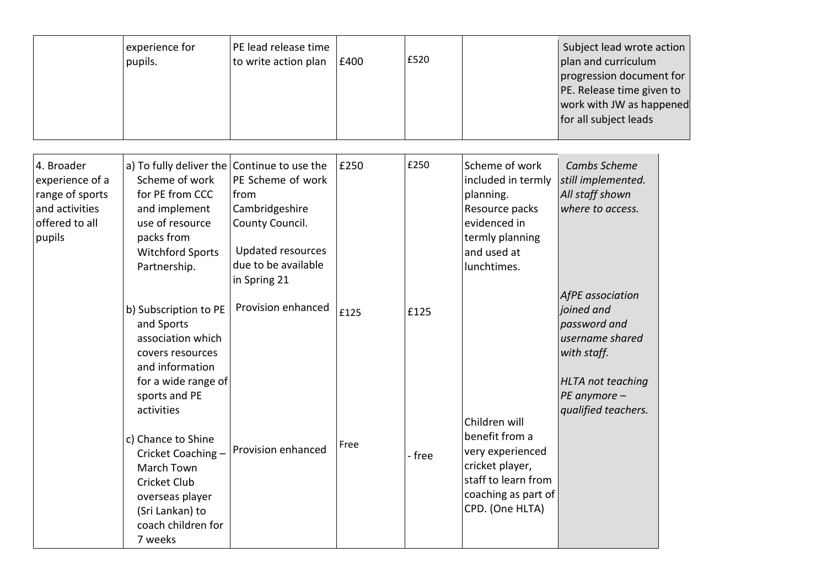|                                                                                                | experience for<br>pupils.                                                                                                                                                                                                                         | PE lead release time<br>to write action plan                                                                                                     | £400         | £520         |                                                                                                                                         | Subject lead wrote action<br>plan and curriculum<br>progression document for<br>PE. Release time given to<br>work with JW as happened<br>for all subject leads |  |
|------------------------------------------------------------------------------------------------|---------------------------------------------------------------------------------------------------------------------------------------------------------------------------------------------------------------------------------------------------|--------------------------------------------------------------------------------------------------------------------------------------------------|--------------|--------------|-----------------------------------------------------------------------------------------------------------------------------------------|----------------------------------------------------------------------------------------------------------------------------------------------------------------|--|
| 4. Broader<br>experience of a<br>range of sports<br>and activities<br>offered to all<br>pupils | a) To fully deliver the Continue to use the<br>Scheme of work<br>for PE from CCC<br>and implement<br>use of resource<br>packs from<br><b>Witchford Sports</b><br>Partnership.<br>b) Subscription to PE<br>and Sports<br>association which         | PE Scheme of work<br>from<br>Cambridgeshire<br>County Council.<br>Updated resources<br>due to be available<br>in Spring 21<br>Provision enhanced | £250<br>£125 | £250<br>£125 | Scheme of work<br>included in termly<br>planning.<br>Resource packs<br>evidenced in<br>termly planning<br>and used at<br>lunchtimes.    | Cambs Scheme<br>still implemented.<br>All staff shown<br>where to access.<br>AfPE association<br>joined and<br>password and<br>username shared                 |  |
|                                                                                                | covers resources<br>and information<br>for a wide range of<br>sports and PE<br>activities<br>c) Chance to Shine<br>Cricket Coaching -<br>March Town<br><b>Cricket Club</b><br>overseas player<br>(Sri Lankan) to<br>coach children for<br>7 weeks | Provision enhanced                                                                                                                               | Free         | - free       | Children will<br>benefit from a<br>very experienced<br>cricket player,<br>staff to learn from<br>coaching as part of<br>CPD. (One HLTA) | with staff.<br>HLTA not teaching<br>PE anymore -<br>qualified teachers.                                                                                        |  |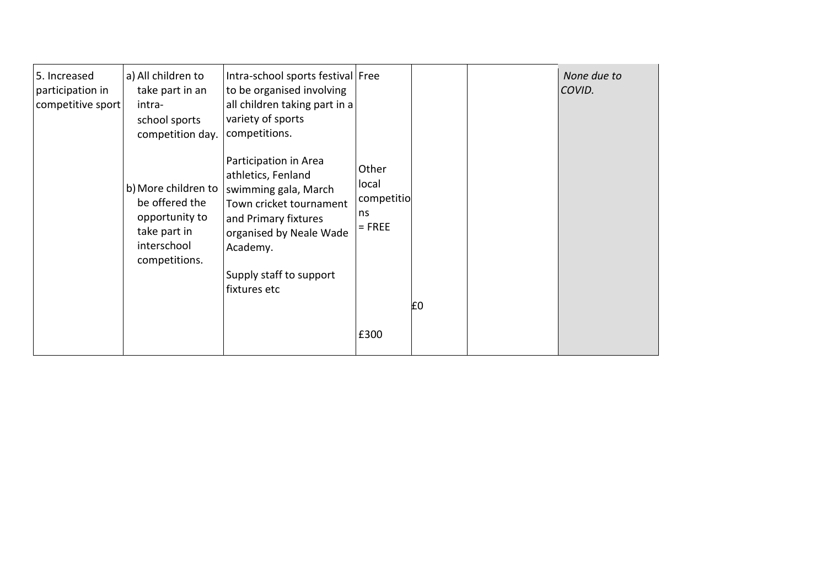| 5. Increased<br>participation in<br>competitive sport | a) All children to<br>take part in an<br>intra-<br>school sports<br>competition day.                    | Intra-school sports festival Free<br>to be organised involving<br>all children taking part in a<br>variety of sports<br>competitions.                                                                    |                                                |    | None due to<br>COVID. |
|-------------------------------------------------------|---------------------------------------------------------------------------------------------------------|----------------------------------------------------------------------------------------------------------------------------------------------------------------------------------------------------------|------------------------------------------------|----|-----------------------|
|                                                       | b) More children to<br>be offered the<br>opportunity to<br>take part in<br>interschool<br>competitions. | Participation in Area<br>athletics, Fenland<br>swimming gala, March<br>Town cricket tournament<br>and Primary fixtures<br>organised by Neale Wade<br>Academy.<br>Supply staff to support<br>fixtures etc | Other<br>local<br>competitio<br>ns<br>$=$ FREE | £0 |                       |
|                                                       |                                                                                                         |                                                                                                                                                                                                          | £300                                           |    |                       |